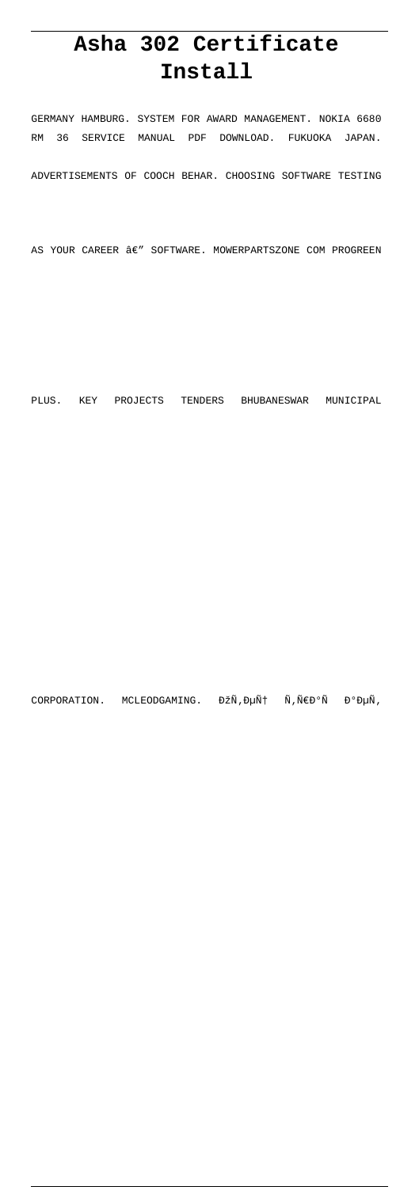# **Asha 302 Certificate Install**

GERMANY HAMBURG. SYSTEM FOR AWARD MANAGEMENT. NOKIA 6680 RM 36 SERVICE MANUAL PDF DOWNLOAD. FUKUOKA JAPAN. ADVERTISEMENTS OF COOCH BEHAR. CHOOSING SOFTWARE TESTING

AS YOUR CAREER  $\hat{a}\epsilon''$  SOFTWARE. MOWERPARTSZONE COM PROGREEN

PLUS. KEY PROJECTS TENDERS BHUBANESWAR MUNICIPAL

CORPORATION. MCLEODGAMING. ĐŽÑ, ец Ñ, ÑEаÑ Đ°ĐµÑ,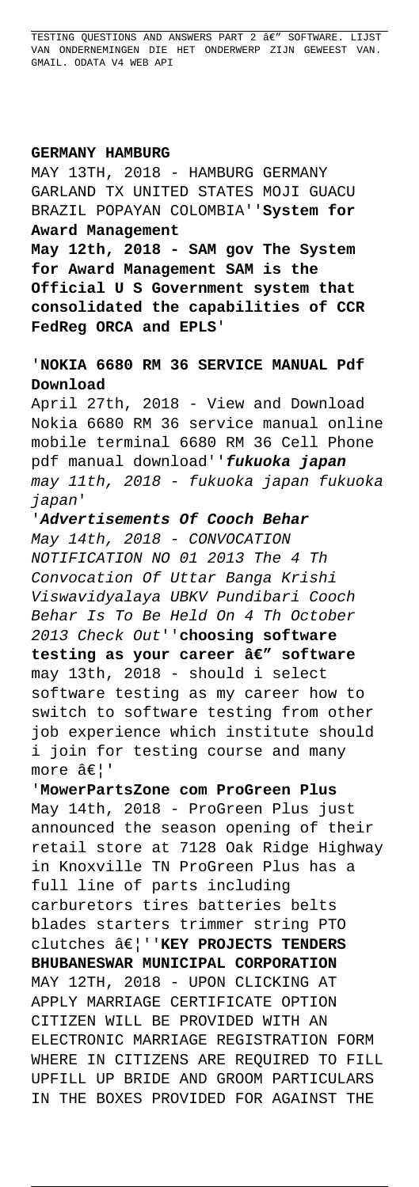TESTING QUESTIONS AND ANSWERS PART 2  $\hat{a}\epsilon$ " SOFTWARE. LIJST VAN ONDERNEMINGEN DIE HET ONDERWERP ZIJN GEWEEST VAN. GMAIL. ODATA V4 WEB API

## **GERMANY HAMBURG**

MAY 13TH, 2018 - HAMBURG GERMANY GARLAND TX UNITED STATES MOJI GUACU BRAZIL POPAYAN COLOMBIA''**System for Award Management**

**May 12th, 2018 - SAM gov The System for Award Management SAM is the Official U S Government system that consolidated the capabilities of CCR FedReg ORCA and EPLS**'

## '**NOKIA 6680 RM 36 SERVICE MANUAL Pdf Download**

April 27th, 2018 - View and Download Nokia 6680 RM 36 service manual online mobile terminal 6680 RM 36 Cell Phone pdf manual download''**fukuoka japan** may 11th, 2018 - fukuoka japan fukuoka japan'

'**Advertisements Of Cooch Behar** May 14th, 2018 - CONVOCATION NOTIFICATION NO 01 2013 The 4 Th Convocation Of Uttar Banga Krishi Viswavidyalaya UBKV Pundibari Cooch Behar Is To Be Held On 4 Th October 2013 Check Out''**choosing software** testing as your career â€" software may 13th, 2018 - should i select software testing as my career how to switch to software testing from other job experience which institute should i join for testing course and many more  $\hat{a}\in$  '

'**MowerPartsZone com ProGreen Plus** May 14th, 2018 - ProGreen Plus just announced the season opening of their retail store at 7128 Oak Ridge Highway in Knoxville TN ProGreen Plus has a full line of parts including carburetors tires batteries belts blades starters trimmer string PTO clutches …''**KEY PROJECTS TENDERS BHUBANESWAR MUNICIPAL CORPORATION** MAY 12TH, 2018 - UPON CLICKING AT APPLY MARRIAGE CERTIFICATE OPTION CITIZEN WILL BE PROVIDED WITH AN ELECTRONIC MARRIAGE REGISTRATION FORM WHERE IN CITIZENS ARE REQUIRED TO FILL UPFILL UP BRIDE AND GROOM PARTICULARS IN THE BOXES PROVIDED FOR AGAINST THE